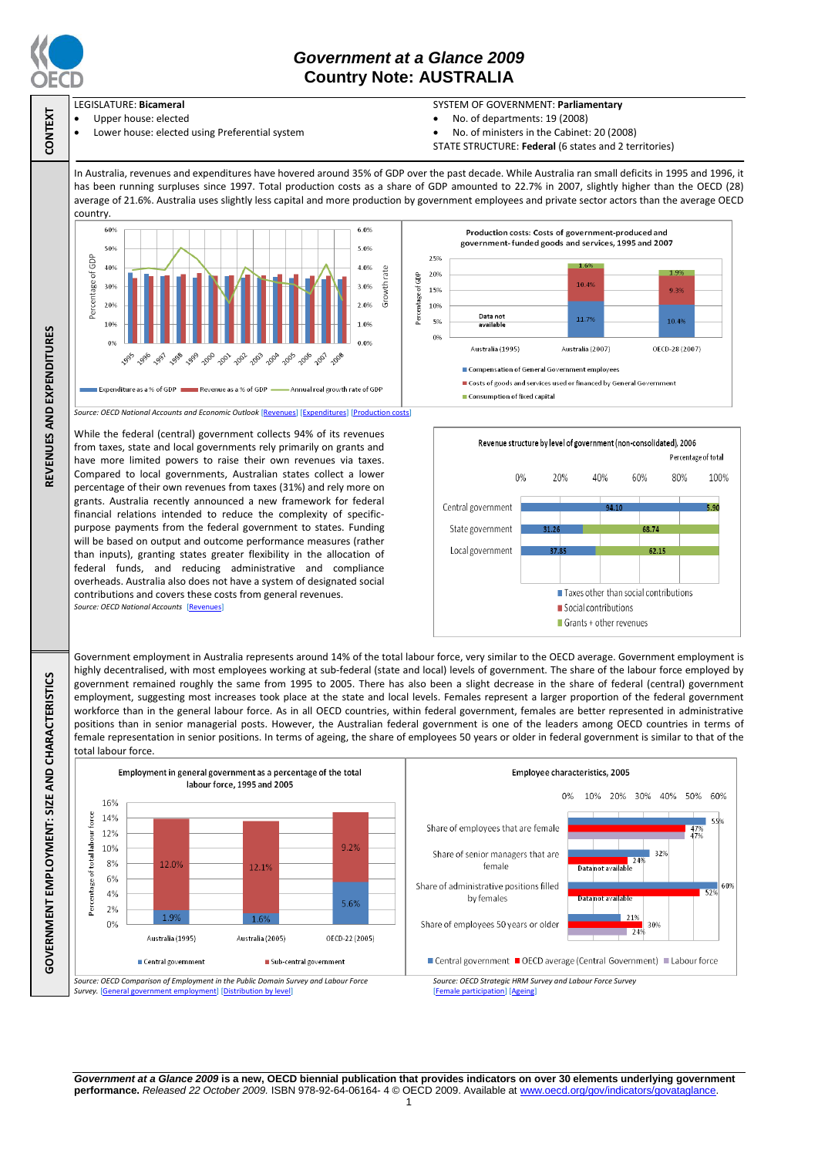

**CONTEXT**

**REVENUES AND EXPENDITURES**

REVENUES AND EXPENDITURES

**GOVERNMENT EMPLOYMENT: SIZE AND CHARACTERISTICS**

GOVERNMENT EMPLOYMENT: SIZE AND CHARACTERISTICS

## *Government at a Glance 2009*  **Country Note: AUSTRALIA**

- LEGISLATURE: **Bicameral**
	- Upper house: elected Lower house: elected using Preferential system
- SYSTEM OF GOVERNMENT: **Parliamentary**
- No. of departments: 19 (2008)
- No. of ministers in the Cabinet: 20 (2008)
- STATE STRUCTURE: **Federal** (6 states and 2 territories)

In Australia, revenues and expenditures have hovered around 35% of GDP over the past decade. While Australia ran small deficits in 1995 and 1996, it has been running surpluses since 1997. Total production costs as a share of GDP amounted to 22.7% in 2007, slightly higher than the OECD (28) average of 21.6%. Australia uses slightly less capital and more production by government employees and private sector actors than the average OECD country.



from taxes, state and local governments rely primarily on grants and have more limited powers to raise their own revenues via taxes. Compared to local governments, Australian states collect a lower percentage of their own revenues from taxes (31%) and rely more on grants. Australia recently announced a new framework for federal financial relations intended to reduce the complexity of specificpurpose payments from the federal government to states. Funding will be based on output and outcome performance measures (rather than inputs), granting states greater flexibility in the allocation of federal funds, and reducing administrative and compliance overheads. Australia also does not have a system of designated social contributions and covers these costs from general revenues. *Source: OECD National Accounts* [\[Revenues\]](http://dx.doi.org/10.1787/723418413857)



Government employment in Australia represents around 14% of the total labour force, very similar to the OECD average. Government employment is highly decentralised, with most employees working at sub-federal (state and local) levels of government. The share of the labour force employed by government remained roughly the same from 1995 to 2005. There has also been a slight decrease in the share of federal (central) government employment, suggesting most increases took place at the state and local levels. Females represent a larger proportion of the federal government workforce than in the general labour force. As in all OECD countries, within federal government, females are better represented in administrative positions than in senior managerial posts. However, the Australian federal government is one of the leaders among OECD countries in terms of female representation in senior positions. In terms of ageing, the share of employees 50 years or older in federal government is similar to that of the total labour force



*Government at a Glance 2009* **is a new, OECD biennial publication that provides indicators on over 30 elements underlying government performance.** *Released 22 October 2009.* ISBN 978-92-64-06164- 4 © OECD 2009. Available at www.oecd.org/gov/indicators/govataglance.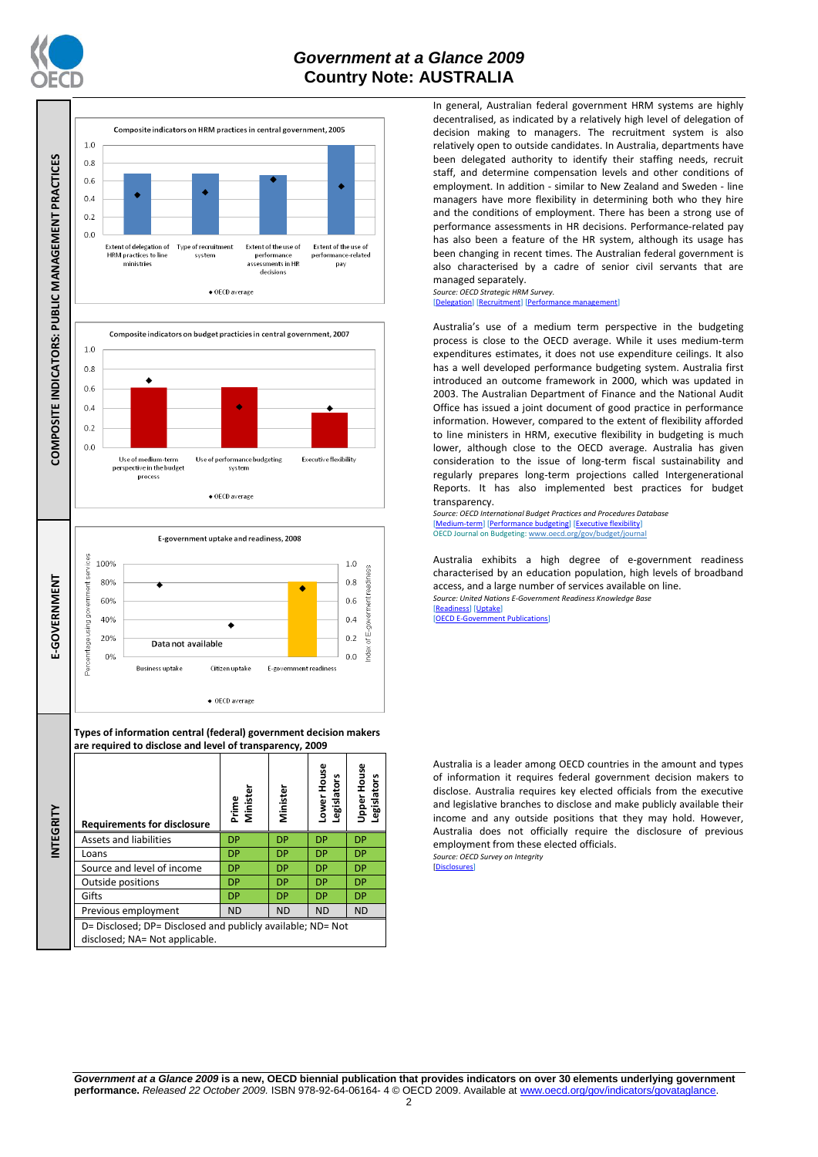

## *Government at a Glance 2009*  **Country Note: AUSTRALIA**



In general, Australian federal government HRM systems are highly decentralised, as indicated by a relatively high level of delegation of decision making to managers. The recruitment system is also relatively open to outside candidates. In Australia, departments have been delegated authority to identify their staffing needs, recruit staff, and determine compensation levels and other conditions of employment. In addition - similar to New Zealand and Sweden - line managers have more flexibility in determining both who they hire and the conditions of employment. There has been a strong use of performance assessments in HR decisions. Performance-related pay has also been a feature of the HR system, although its usage has been changing in recent times. The Australian federal government is also characterised by a cadre of senior civil servants that are managed separately.

*Source: OECD Strategic HRM Survey.* [\[Delegation\]](http://dx.doi.org/10.1787/723663744332) [\[Recruitment\]](http://dx.doi.org/10.1787/723668744361) [\[Performance management\]](http://dx.doi.org/10.1787/723750171710)

Australia's use of a medium term perspective in the budgeting process is close to the OECD average. While it uses medium-term expenditures estimates, it does not use expenditure ceilings. It also has a well developed performance budgeting system. Australia first introduced an outcome framework in 2000, which was updated in 2003. The Australian Department of Finance and the National Audit Office has issued a joint document of good practice in performance information. However, compared to the extent of flexibility afforded to line ministers in HRM, executive flexibility in budgeting is much lower, although close to the OECD average. Australia has given consideration to the issue of long-term fiscal sustainability and regularly prepares long-term projections called Intergenerational Reports. It has also implemented best practices for budget transparency.

*Source: OECD International Budget Practices and Procedures Database* [\[Medium-term\]](http://dx.doi.org/10.1787/723856770865) [\[Performance budgeting\]](http://dx.doi.org/10.1787/723863437686) [\[Executive flexibility\]](http://dx.doi.org/10.1787/723876713213) OECD Journal on Budgeting[: www.oecd.org/gov/budget/journal](http://www.oecd.org/gov/budget/journal)

Australia exhibits a high degree of e-government readiness characterised by an education population, high levels of broadband access, and a large number of services available on line. *Source: United Nations E-Government Readiness Knowledge Base* [\[Readiness\]](http://dx.doi.org/10.1787/724248078408) [\[Uptake\]](http://dx.doi.org/10.1787/724264662272)

[\[OECD E-Government Publications\]](http://www.oecd.org/document/40/0,3343,en_2649_34129_41342248_1_1_1_1,00.html)

Australia is a leader among OECD countries in the amount and types of information it requires federal government decision makers to disclose. Australia requires key elected officials from the executive and legislative branches to disclose and make publicly available their income and any outside positions that they may hold. However, Australia does not officially require the disclosure of previous employment from these elected officials. *Source: OECD Survey on Integrity*

[\[Disclosures\]](http://dx.doi.org/10.1787/724123642681)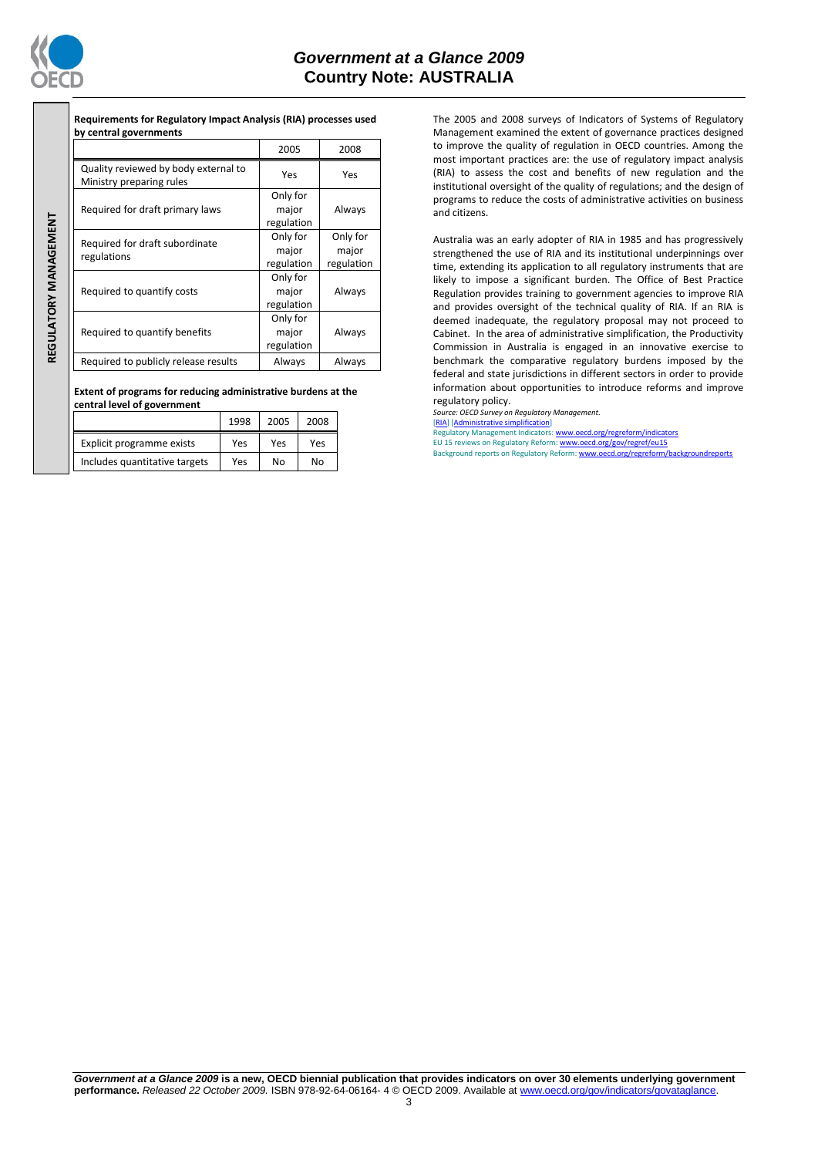

REGULATORY MANAGEMENT **REGULATORY MANAGEMENT**

## *Government at a Glance 2009*  **Country Note: AUSTRALIA**

**Requirements for Regulatory Impact Analysis (RIA) processes used by central governments**

|                                                                  | 2005                            | 2008                            |  |
|------------------------------------------------------------------|---------------------------------|---------------------------------|--|
| Quality reviewed by body external to<br>Ministry preparing rules | Yes                             | Yes                             |  |
| Required for draft primary laws                                  | Only for<br>major<br>regulation | Always                          |  |
| Required for draft subordinate<br>regulations                    | Only for<br>major<br>regulation | Only for<br>major<br>regulation |  |
| Required to quantify costs                                       | Only for<br>major<br>regulation | Always                          |  |
| Required to quantify benefits                                    | Only for<br>major<br>regulation | Always                          |  |
| Required to publicly release results                             | Always                          | Always                          |  |

**Extent of programs for reducing administrative burdens at the central level of government**

|                               | 1998 | 2005 | 2008 |
|-------------------------------|------|------|------|
| Explicit programme exists     | Yes  | Yes  | Yes  |
| Includes quantitative targets | Yes  | N٥   | NΩ   |

The 2005 and 2008 surveys of Indicators of Systems of Regulatory Management examined the extent of governance practices designed to improve the quality of regulation in OECD countries. Among the most important practices are: the use of regulatory impact analysis (RIA) to assess the cost and benefits of new regulation and the institutional oversight of the quality of regulations; and the design of programs to reduce the costs of administrative activities on business and citizens.

Australia was an early adopter of RIA in 1985 and has progressively strengthened the use of RIA and its institutional underpinnings over time, extending its application to all regulatory instruments that are likely to impose a significant burden. The Office of Best Practice Regulation provides training to government agencies to improve RIA and provides oversight of the technical quality of RIA. If an RIA is deemed inadequate, the regulatory proposal may not proceed to Cabinet. In the area of administrative simplification, the Productivity Commission in Australia is engaged in an innovative exercise to benchmark the comparative regulatory burdens imposed by the federal and state jurisdictions in different sectors in order to provide information about opportunities to introduce reforms and improve regulatory policy.

*Source: OECD Survey on Regulatory Management.*

[\[RIA\]](http://dx.doi.org/10.1787/724045144354) [\[Administrative simplification\]](http://dx.doi.org/10.1787/724058851054) Regulatory Management Indicators[: www.oecd.org/regreform/indicators](http://www.oecd.org/regreform/indicators) EU 15 reviews on Regulatory Reform[: www.oecd.org/gov/regref/eu15](http://www.oecd.org/gov/regref/eu15)

Background reports on Regulatory Reform: www.oecd.org/regreform/